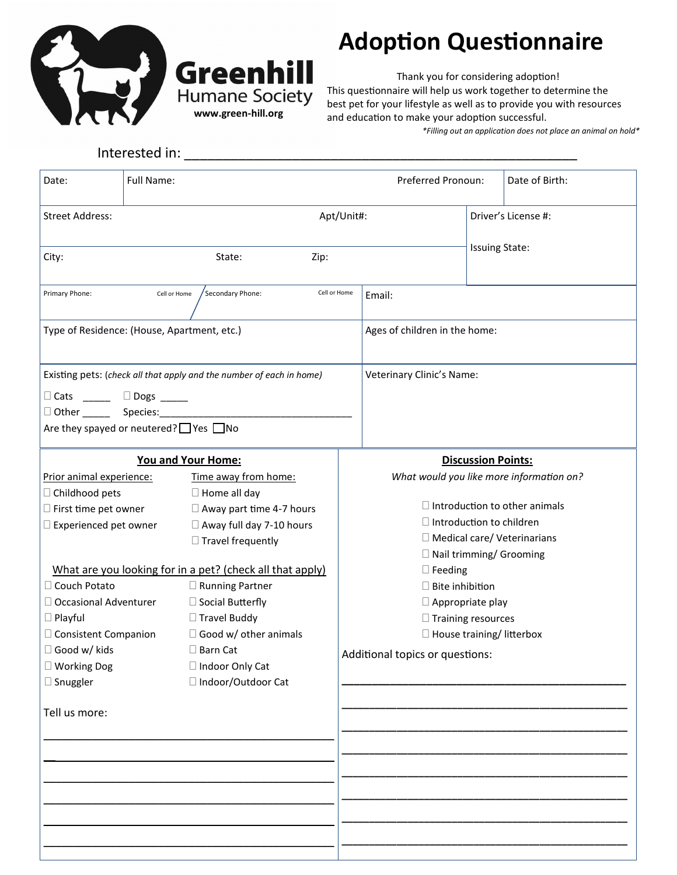

Interested in:

**www.green-hill.org**

**Greenhill** 

**Humane Society** 

## **Adoption Questionnaire**

Thank you for considering adoption! This questionnaire will help us work together to determine the best pet for your lifestyle as well as to provide you with resources and education to make your adoption successful.

*\*Filling out an application does not place an animal on hold\**

| Date:                                                                                                                                                                                                                                                                 | Full Name: |                                                                                                                                                                                                                                                                                                                                                                                 |  | Preferred Pronoun:                                                                                                                                                                                                                            |                           | Date of Birth:                                                                                                         |
|-----------------------------------------------------------------------------------------------------------------------------------------------------------------------------------------------------------------------------------------------------------------------|------------|---------------------------------------------------------------------------------------------------------------------------------------------------------------------------------------------------------------------------------------------------------------------------------------------------------------------------------------------------------------------------------|--|-----------------------------------------------------------------------------------------------------------------------------------------------------------------------------------------------------------------------------------------------|---------------------------|------------------------------------------------------------------------------------------------------------------------|
| Apt/Unit#:<br><b>Street Address:</b>                                                                                                                                                                                                                                  |            |                                                                                                                                                                                                                                                                                                                                                                                 |  |                                                                                                                                                                                                                                               | Driver's License #:       |                                                                                                                        |
| City:<br>State:<br>Zip:                                                                                                                                                                                                                                               |            |                                                                                                                                                                                                                                                                                                                                                                                 |  |                                                                                                                                                                                                                                               |                           | <b>Issuing State:</b>                                                                                                  |
| Primary Phone:<br>Secondary Phone:<br>Cell or Home<br>Cell or Home                                                                                                                                                                                                    |            |                                                                                                                                                                                                                                                                                                                                                                                 |  | Email:                                                                                                                                                                                                                                        |                           |                                                                                                                        |
| Type of Residence: (House, Apartment, etc.)                                                                                                                                                                                                                           |            |                                                                                                                                                                                                                                                                                                                                                                                 |  | Ages of children in the home:                                                                                                                                                                                                                 |                           |                                                                                                                        |
| Existing pets: (check all that apply and the number of each in home)<br>$\Box$ Cats ______ $\Box$ Dogs _____<br>Other _________ Species:___________<br>Are they spayed or neutered? Ves ∩No                                                                           |            |                                                                                                                                                                                                                                                                                                                                                                                 |  | Veterinary Clinic's Name:                                                                                                                                                                                                                     |                           |                                                                                                                        |
|                                                                                                                                                                                                                                                                       |            | <b>You and Your Home:</b>                                                                                                                                                                                                                                                                                                                                                       |  |                                                                                                                                                                                                                                               | <b>Discussion Points:</b> |                                                                                                                        |
| Prior animal experience:<br>□ Childhood pets<br>$\square$ First time pet owner<br>Experienced pet owner<br>Couch Potato<br>$\Box$ Occasional Adventurer<br>$\Box$ Playful<br>□ Consistent Companion<br>□ Good w/ kids<br>□ Working Dog<br>□ Snuggler<br>Tell us more: |            | Time away from home:<br>$\Box$ Home all day<br>$\Box$ Away part time 4-7 hours<br>$\Box$ Away full day 7-10 hours<br>$\Box$ Travel frequently<br>What are you looking for in a pet? (check all that apply)<br>□ Running Partner<br>□ Social Butterfly<br>$\Box$ Travel Buddy<br>$\Box$ Good w/ other animals<br>$\square$ Barn Cat<br>□ Indoor Only Cat<br>□ Indoor/Outdoor Cat |  | $\Box$ Introduction to children<br>□ Nail trimming/ Grooming<br>$\square$ Feeding<br>$\square$ Bite inhibition<br>$\Box$ Appropriate play<br>$\Box$ Training resources<br>$\Box$ House training/ litterbox<br>Additional topics or questions: |                           | What would you like more information on?<br>$\Box$ Introduction to other animals<br>$\Box$ Medical care/ Veterinarians |
|                                                                                                                                                                                                                                                                       |            |                                                                                                                                                                                                                                                                                                                                                                                 |  |                                                                                                                                                                                                                                               |                           |                                                                                                                        |